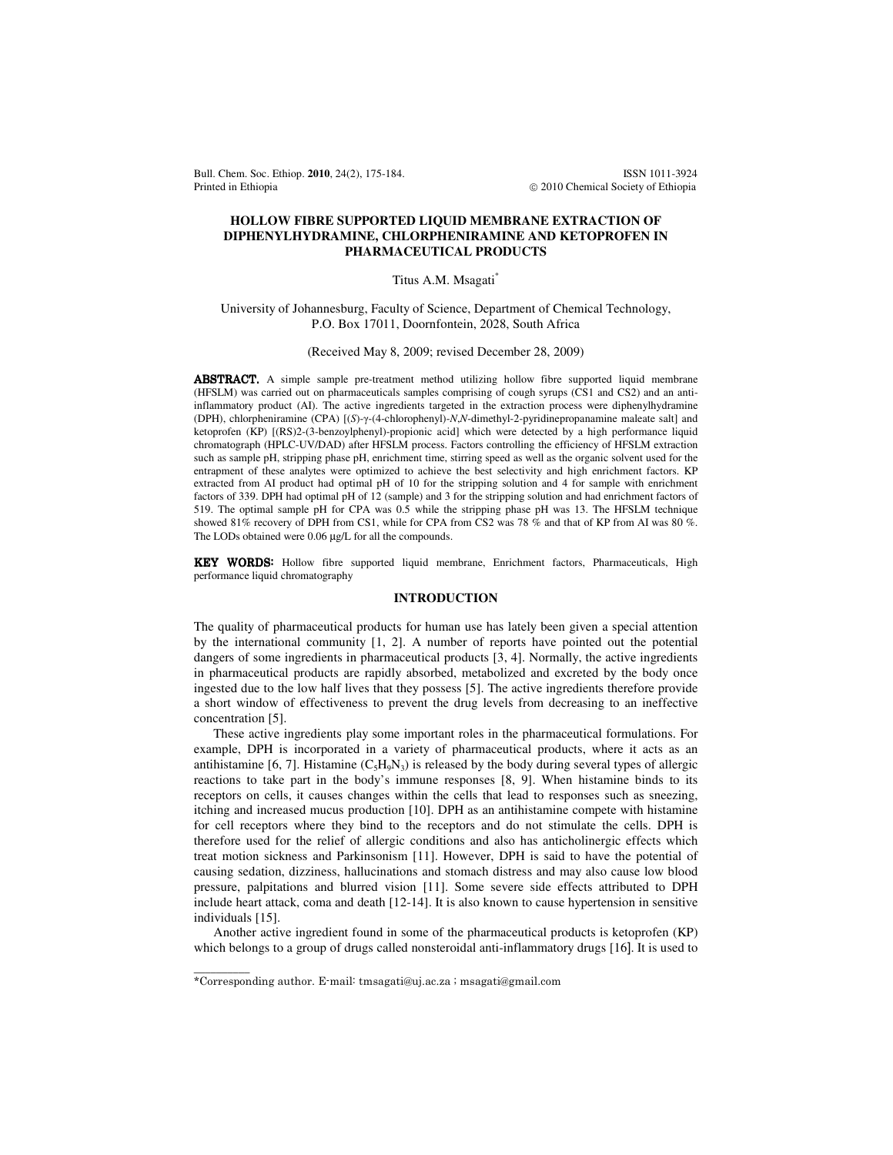Bull. Chem. Soc. Ethiop. **2010**, 24(2), 175-184. **ISSN 1011-3924 ISSN 1011-3924** Printed in Ethiopia **2010** Chemical Society of Ethiopia **2010** Chemical Society of Ethiopia

## **HOLLOW FIBRE SUPPORTED LIQUID MEMBRANE EXTRACTION OF DIPHENYLHYDRAMINE, CHLORPHENIRAMINE AND KETOPROFEN IN PHARMACEUTICAL PRODUCTS**

### Titus A.M. Msagati\*

University of Johannesburg, Faculty of Science, Department of Chemical Technology, P.O. Box 17011, Doornfontein, 2028, South Africa

(Received May 8, 2009; revised December 28, 2009)

ABSTRACT. A simple sample pre-treatment method utilizing hollow fibre supported liquid membrane (HFSLM) was carried out on pharmaceuticals samples comprising of cough syrups (CS1 and CS2) and an antiinflammatory product (AI). The active ingredients targeted in the extraction process were diphenylhydramine (DPH), chlorpheniramine (CPA) [(*S*)-γ-(4-chlorophenyl)-*N*,*N*-dimethyl-2-pyridinepropanamine maleate salt] and ketoprofen (KP) [(RS)2-(3-benzoylphenyl)-propionic acid] which were detected by a high performance liquid chromatograph (HPLC-UV/DAD) after HFSLM process. Factors controlling the efficiency of HFSLM extraction such as sample pH, stripping phase pH, enrichment time, stirring speed as well as the organic solvent used for the entrapment of these analytes were optimized to achieve the best selectivity and high enrichment factors. KP extracted from AI product had optimal pH of 10 for the stripping solution and 4 for sample with enrichment factors of 339. DPH had optimal pH of 12 (sample) and 3 for the stripping solution and had enrichment factors of 519. The optimal sample pH for CPA was 0.5 while the stripping phase pH was 13. The HFSLM technique showed 81% recovery of DPH from CS1, while for CPA from CS2 was 78 % and that of KP from AI was 80 %. The LODs obtained were 0.06 µg/L for all the compounds.

KEY WORDS: WORDS: Hollow fibre supported liquid membrane, Enrichment factors, Pharmaceuticals, High performance liquid chromatography

## **INTRODUCTION**

The quality of pharmaceutical products for human use has lately been given a special attention by the international community [1, 2]. A number of reports have pointed out the potential dangers of some ingredients in pharmaceutical products [3, 4]. Normally, the active ingredients in pharmaceutical products are rapidly absorbed, metabolized and excreted by the body once ingested due to the low half lives that they possess [5]. The active ingredients therefore provide a short window of effectiveness to prevent the drug levels from decreasing to an ineffective concentration [5].

 These active ingredients play some important roles in the pharmaceutical formulations. For example, DPH is incorporated in a variety of pharmaceutical products, where it acts as an antihistamine [6, 7]. Histamine  $(C_5H_9N_3)$  is released by the body during several types of allergic reactions to take part in the body's immune responses [8, 9]. When histamine binds to its receptors on cells, it causes changes within the cells that lead to responses such as sneezing, itching and increased mucus production [10]. DPH as an antihistamine compete with histamine for cell receptors where they bind to the receptors and do not stimulate the cells. DPH is therefore used for the relief of allergic conditions and also has anticholinergic effects which treat motion sickness and Parkinsonism [11]. However, DPH is said to have the potential of causing sedation, dizziness, hallucinations and stomach distress and may also cause low blood pressure, palpitations and blurred vision [11]. Some severe side effects attributed to DPH include heart attack, coma and death [12-14]. It is also known to cause hypertension in sensitive individuals [15].

 Another active ingredient found in some of the pharmaceutical products is ketoprofen (KP) which belongs to a group of drugs called nonsteroidal anti-inflammatory drugs [16]. It is used to

 $\overline{\phantom{a}}$ 

<sup>\*</sup>Corresponding author. E-mail: tmsagati@uj.ac.za ; msagati@gmail.com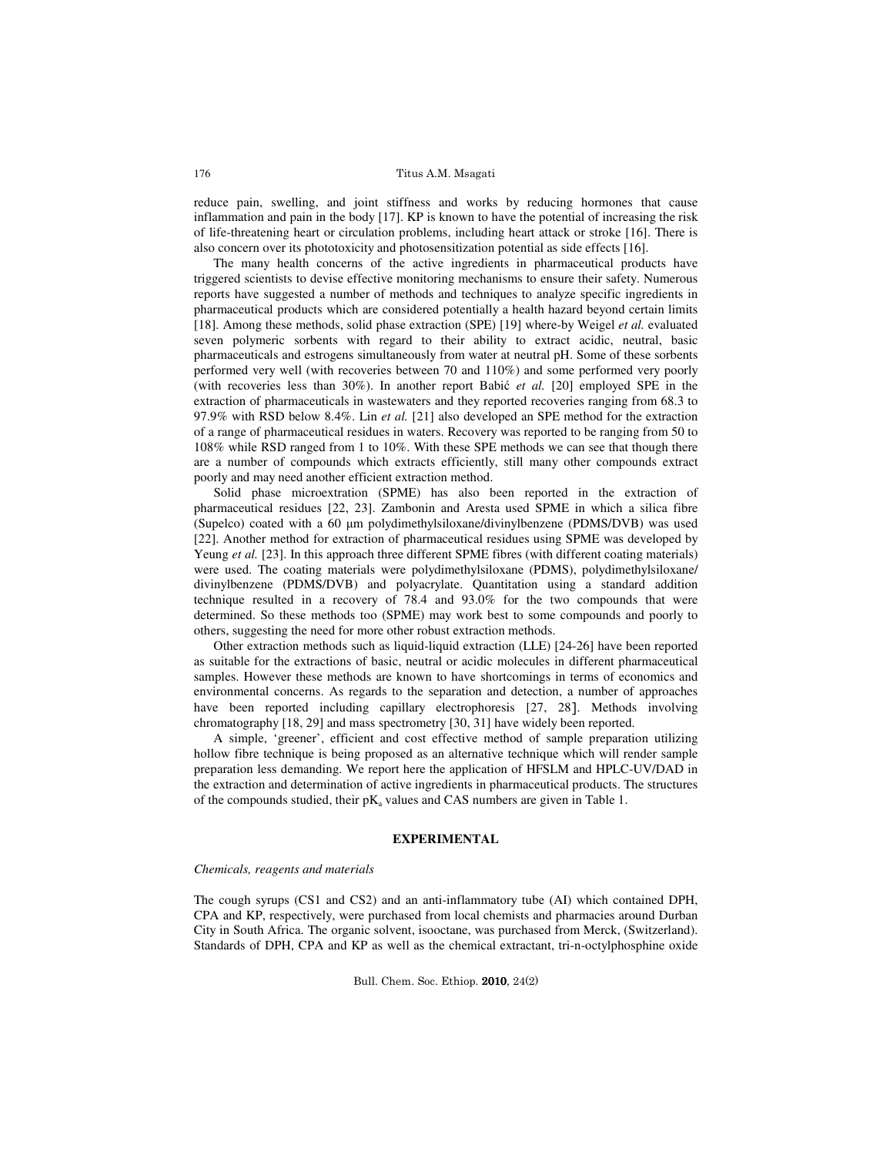reduce pain, swelling, and joint stiffness and works by reducing hormones that cause inflammation and pain in the body [17]. KP is known to have the potential of increasing the risk of life-threatening heart or circulation problems, including heart attack or stroke [16]. There is also concern over its phototoxicity and photosensitization potential as side effects [16].

 The many health concerns of the active ingredients in pharmaceutical products have triggered scientists to devise effective monitoring mechanisms to ensure their safety. Numerous reports have suggested a number of methods and techniques to analyze specific ingredients in pharmaceutical products which are considered potentially a health hazard beyond certain limits [18]. Among these methods, solid phase extraction (SPE) [19] where-by Weigel *et al.* evaluated seven polymeric sorbents with regard to their ability to extract acidic, neutral, basic pharmaceuticals and estrogens simultaneously from water at neutral pH. Some of these sorbents performed very well (with recoveries between 70 and 110%) and some performed very poorly (with recoveries less than 30%). In another report Babić *et al.* [20] employed SPE in the extraction of pharmaceuticals in wastewaters and they reported recoveries ranging from 68.3 to 97.9% with RSD below 8.4%. Lin *et al.* [21] also developed an SPE method for the extraction of a range of pharmaceutical residues in waters. Recovery was reported to be ranging from 50 to 108% while RSD ranged from 1 to 10%. With these SPE methods we can see that though there are a number of compounds which extracts efficiently, still many other compounds extract poorly and may need another efficient extraction method.

 Solid phase microextration (SPME) has also been reported in the extraction of pharmaceutical residues [22, 23]. Zambonin and Aresta used SPME in which a silica fibre (Supelco) coated with a 60 µm polydimethylsiloxane/divinylbenzene (PDMS/DVB) was used [22]. Another method for extraction of pharmaceutical residues using SPME was developed by Yeung *et al.* [23]. In this approach three different SPME fibres (with different coating materials) were used. The coating materials were polydimethylsiloxane (PDMS), polydimethylsiloxane/ divinylbenzene (PDMS/DVB) and polyacrylate. Quantitation using a standard addition technique resulted in a recovery of 78.4 and 93.0% for the two compounds that were determined. So these methods too (SPME) may work best to some compounds and poorly to others, suggesting the need for more other robust extraction methods.

 Other extraction methods such as liquid-liquid extraction (LLE) [24-26] have been reported as suitable for the extractions of basic, neutral or acidic molecules in different pharmaceutical samples. However these methods are known to have shortcomings in terms of economics and environmental concerns. As regards to the separation and detection, a number of approaches have been reported including capillary electrophoresis [27, 28]. Methods involving chromatography [18, 29] and mass spectrometry [30, 31] have widely been reported.

 A simple, 'greener', efficient and cost effective method of sample preparation utilizing hollow fibre technique is being proposed as an alternative technique which will render sample preparation less demanding. We report here the application of HFSLM and HPLC-UV/DAD in the extraction and determination of active ingredients in pharmaceutical products. The structures of the compounds studied, their  $pK_a$  values and CAS numbers are given in Table 1.

#### **EXPERIMENTAL**

#### *Chemicals, reagents and materials*

The cough syrups (CS1 and CS2) and an anti-inflammatory tube (AI) which contained DPH, CPA and KP, respectively, were purchased from local chemists and pharmacies around Durban City in South Africa. The organic solvent, isooctane, was purchased from Merck, (Switzerland). Standards of DPH, CPA and KP as well as the chemical extractant, tri-n-octylphosphine oxide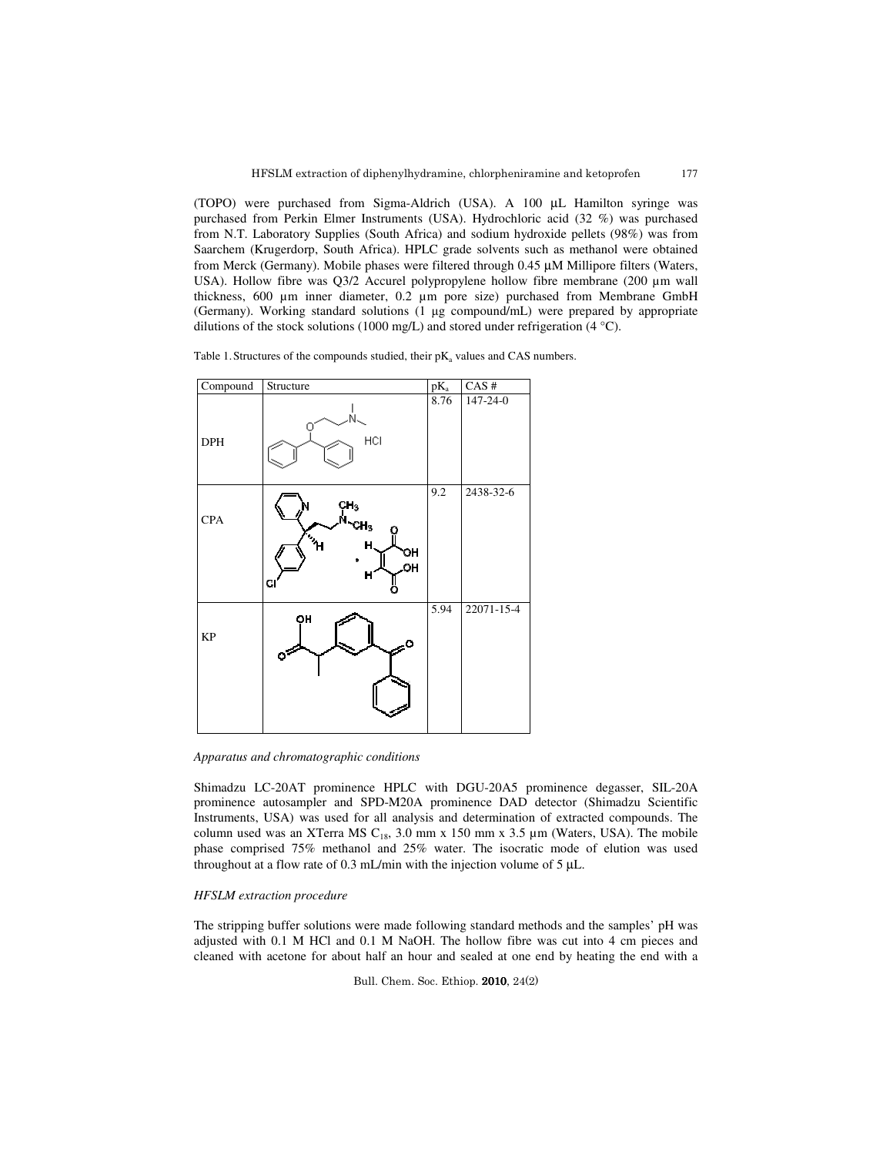177

(TOPO) were purchased from Sigma-Aldrich (USA). A 100 µL Hamilton syringe was purchased from Perkin Elmer Instruments (USA). Hydrochloric acid (32 %) was purchased from N.T. Laboratory Supplies (South Africa) and sodium hydroxide pellets (98%) was from Saarchem (Krugerdorp, South Africa). HPLC grade solvents such as methanol were obtained from Merck (Germany). Mobile phases were filtered through 0.45 µM Millipore filters (Waters, USA). Hollow fibre was Q3/2 Accurel polypropylene hollow fibre membrane (200 µm wall thickness, 600 µm inner diameter, 0.2 µm pore size) purchased from Membrane GmbH (Germany). Working standard solutions (1 µg compound/mL) were prepared by appropriate dilutions of the stock solutions (1000 mg/L) and stored under refrigeration (4  $^{\circ}$ C).

Table 1. Structures of the compounds studied, their  $pK_a$  values and CAS numbers.

| Compound   | Structure                                                                                     | $pK_a$ | $CAS$ #    |
|------------|-----------------------------------------------------------------------------------------------|--------|------------|
| <b>DPH</b> | N<br>HCI                                                                                      | 8.76   | 147-24-0   |
| <b>CPA</b> | сн <sub>з</sub><br>N-сн <sub>з</sub><br>о<br>$\gamma_{\rm H}$<br>H<br>OН<br>OН<br>H<br>C<br>o | 9.2    | 2438-32-6  |
| KP         | OH                                                                                            | 5.94   | 22071-15-4 |

*Apparatus and chromatographic conditions* 

Shimadzu LC-20AT prominence HPLC with DGU-20A5 prominence degasser, SIL-20A prominence autosampler and SPD-M20A prominence DAD detector (Shimadzu Scientific Instruments, USA) was used for all analysis and determination of extracted compounds. The column used was an XTerra MS  $C_{18}$ , 3.0 mm x 150 mm x 3.5  $\mu$ m (Waters, USA). The mobile phase comprised 75% methanol and 25% water. The isocratic mode of elution was used throughout at a flow rate of 0.3 mL/min with the injection volume of 5 µL.

### *HFSLM extraction procedure*

The stripping buffer solutions were made following standard methods and the samples' pH was adjusted with 0.1 M HCl and 0.1 M NaOH. The hollow fibre was cut into 4 cm pieces and cleaned with acetone for about half an hour and sealed at one end by heating the end with a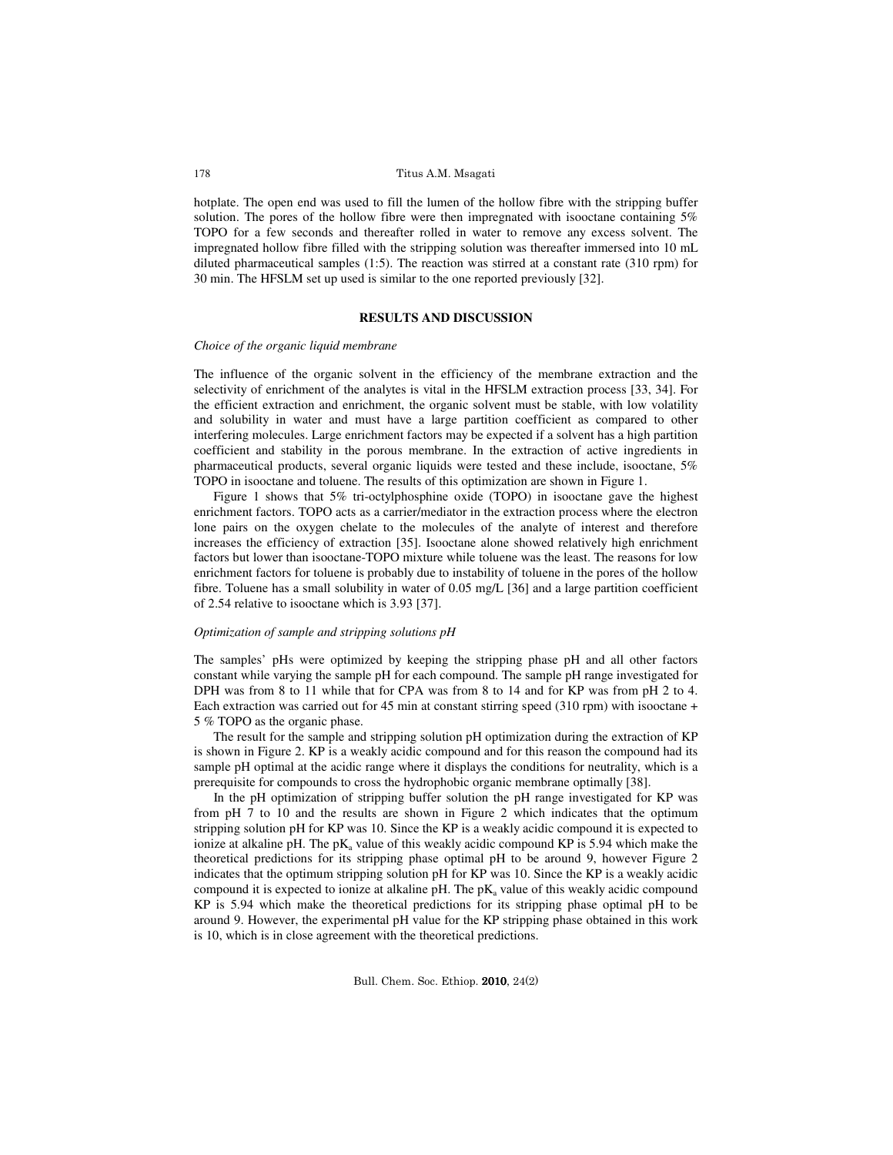hotplate. The open end was used to fill the lumen of the hollow fibre with the stripping buffer solution. The pores of the hollow fibre were then impregnated with isooctane containing 5% TOPO for a few seconds and thereafter rolled in water to remove any excess solvent. The impregnated hollow fibre filled with the stripping solution was thereafter immersed into 10 mL diluted pharmaceutical samples (1:5). The reaction was stirred at a constant rate (310 rpm) for 30 min. The HFSLM set up used is similar to the one reported previously [32].

#### **RESULTS AND DISCUSSION**

#### *Choice of the organic liquid membrane*

The influence of the organic solvent in the efficiency of the membrane extraction and the selectivity of enrichment of the analytes is vital in the HFSLM extraction process [33, 34]. For the efficient extraction and enrichment, the organic solvent must be stable, with low volatility and solubility in water and must have a large partition coefficient as compared to other interfering molecules. Large enrichment factors may be expected if a solvent has a high partition coefficient and stability in the porous membrane. In the extraction of active ingredients in pharmaceutical products, several organic liquids were tested and these include, isooctane, 5% TOPO in isooctane and toluene. The results of this optimization are shown in Figure 1.

Figure 1 shows that 5% tri-octylphosphine oxide (TOPO) in isooctane gave the highest enrichment factors. TOPO acts as a carrier/mediator in the extraction process where the electron lone pairs on the oxygen chelate to the molecules of the analyte of interest and therefore increases the efficiency of extraction [35]. Isooctane alone showed relatively high enrichment factors but lower than isooctane-TOPO mixture while toluene was the least. The reasons for low enrichment factors for toluene is probably due to instability of toluene in the pores of the hollow fibre. Toluene has a small solubility in water of 0.05 mg/L [36] and a large partition coefficient of 2.54 relative to isooctane which is 3.93 [37].

### *Optimization of sample and stripping solutions pH*

The samples' pHs were optimized by keeping the stripping phase pH and all other factors constant while varying the sample pH for each compound. The sample pH range investigated for DPH was from 8 to 11 while that for CPA was from 8 to 14 and for KP was from pH 2 to 4. Each extraction was carried out for 45 min at constant stirring speed (310 rpm) with isooctane + 5 % TOPO as the organic phase.

 The result for the sample and stripping solution pH optimization during the extraction of KP is shown in Figure 2. KP is a weakly acidic compound and for this reason the compound had its sample pH optimal at the acidic range where it displays the conditions for neutrality, which is a prerequisite for compounds to cross the hydrophobic organic membrane optimally [38].

In the pH optimization of stripping buffer solution the pH range investigated for KP was from pH 7 to 10 and the results are shown in Figure 2 which indicates that the optimum stripping solution pH for KP was 10. Since the KP is a weakly acidic compound it is expected to ionize at alkaline pH. The  $pK_a$  value of this weakly acidic compound KP is 5.94 which make the theoretical predictions for its stripping phase optimal pH to be around 9, however Figure 2 indicates that the optimum stripping solution pH for KP was 10. Since the KP is a weakly acidic compound it is expected to ionize at alkaline  $pH$ . The  $pK_a$  value of this weakly acidic compound KP is 5.94 which make the theoretical predictions for its stripping phase optimal pH to be around 9. However, the experimental pH value for the KP stripping phase obtained in this work is 10, which is in close agreement with the theoretical predictions.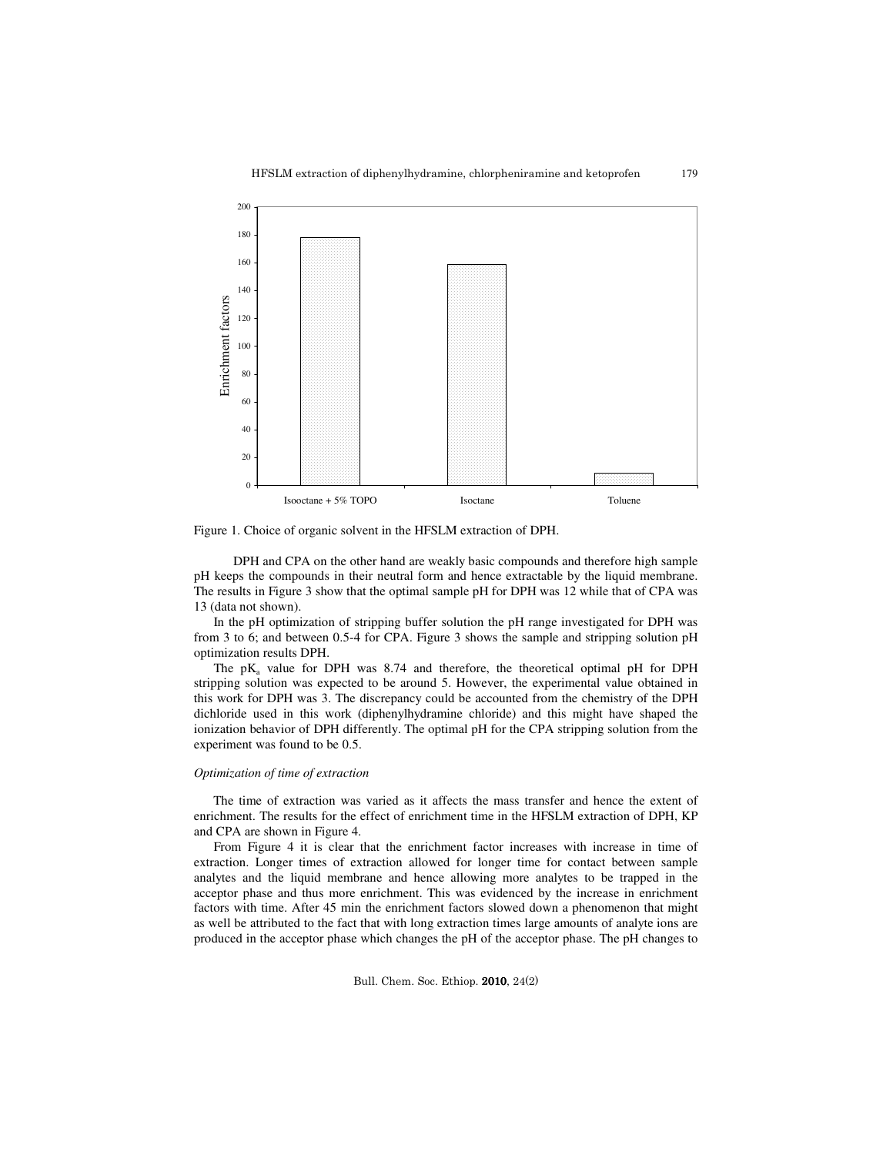

Figure 1. Choice of organic solvent in the HFSLM extraction of DPH.

 DPH and CPA on the other hand are weakly basic compounds and therefore high sample pH keeps the compounds in their neutral form and hence extractable by the liquid membrane. The results in Figure 3 show that the optimal sample pH for DPH was 12 while that of CPA was 13 (data not shown).

 In the pH optimization of stripping buffer solution the pH range investigated for DPH was from 3 to 6; and between 0.5-4 for CPA. Figure 3 shows the sample and stripping solution pH optimization results DPH.

The  $pK_a$  value for DPH was 8.74 and therefore, the theoretical optimal pH for DPH stripping solution was expected to be around 5. However, the experimental value obtained in this work for DPH was 3. The discrepancy could be accounted from the chemistry of the DPH dichloride used in this work (diphenylhydramine chloride) and this might have shaped the ionization behavior of DPH differently. The optimal pH for the CPA stripping solution from the experiment was found to be 0.5.

#### *Optimization of time of extraction*

The time of extraction was varied as it affects the mass transfer and hence the extent of enrichment. The results for the effect of enrichment time in the HFSLM extraction of DPH, KP and CPA are shown in Figure 4.

From Figure 4 it is clear that the enrichment factor increases with increase in time of extraction. Longer times of extraction allowed for longer time for contact between sample analytes and the liquid membrane and hence allowing more analytes to be trapped in the acceptor phase and thus more enrichment. This was evidenced by the increase in enrichment factors with time. After 45 min the enrichment factors slowed down a phenomenon that might as well be attributed to the fact that with long extraction times large amounts of analyte ions are produced in the acceptor phase which changes the pH of the acceptor phase. The pH changes to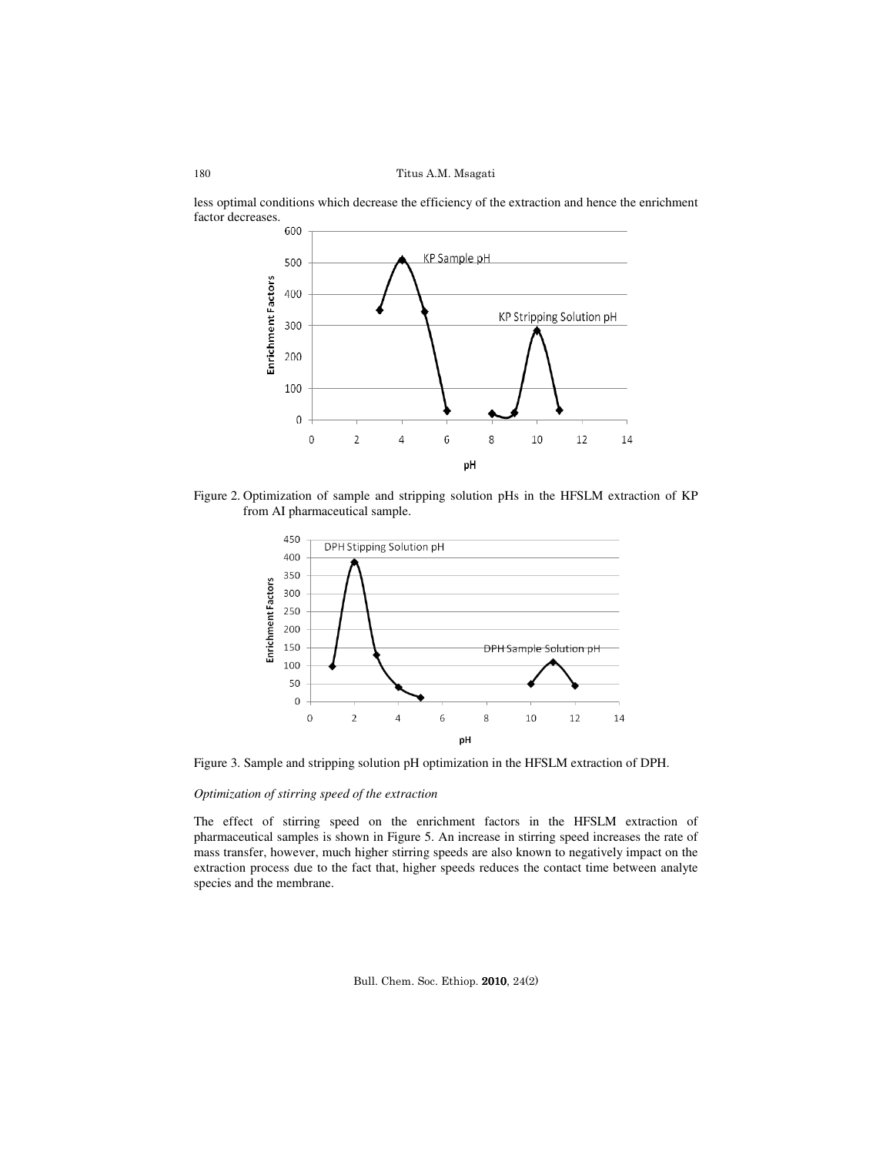

less optimal conditions which decrease the efficiency of the extraction and hence the enrichment factor decreases.<br>600

Figure 2. Optimization of sample and stripping solution pHs in the HFSLM extraction of KP from AI pharmaceutical sample.



Figure 3. Sample and stripping solution pH optimization in the HFSLM extraction of DPH.

# *Optimization of stirring speed of the extraction*

The effect of stirring speed on the enrichment factors in the HFSLM extraction of pharmaceutical samples is shown in Figure 5. An increase in stirring speed increases the rate of mass transfer, however, much higher stirring speeds are also known to negatively impact on the extraction process due to the fact that, higher speeds reduces the contact time between analyte species and the membrane.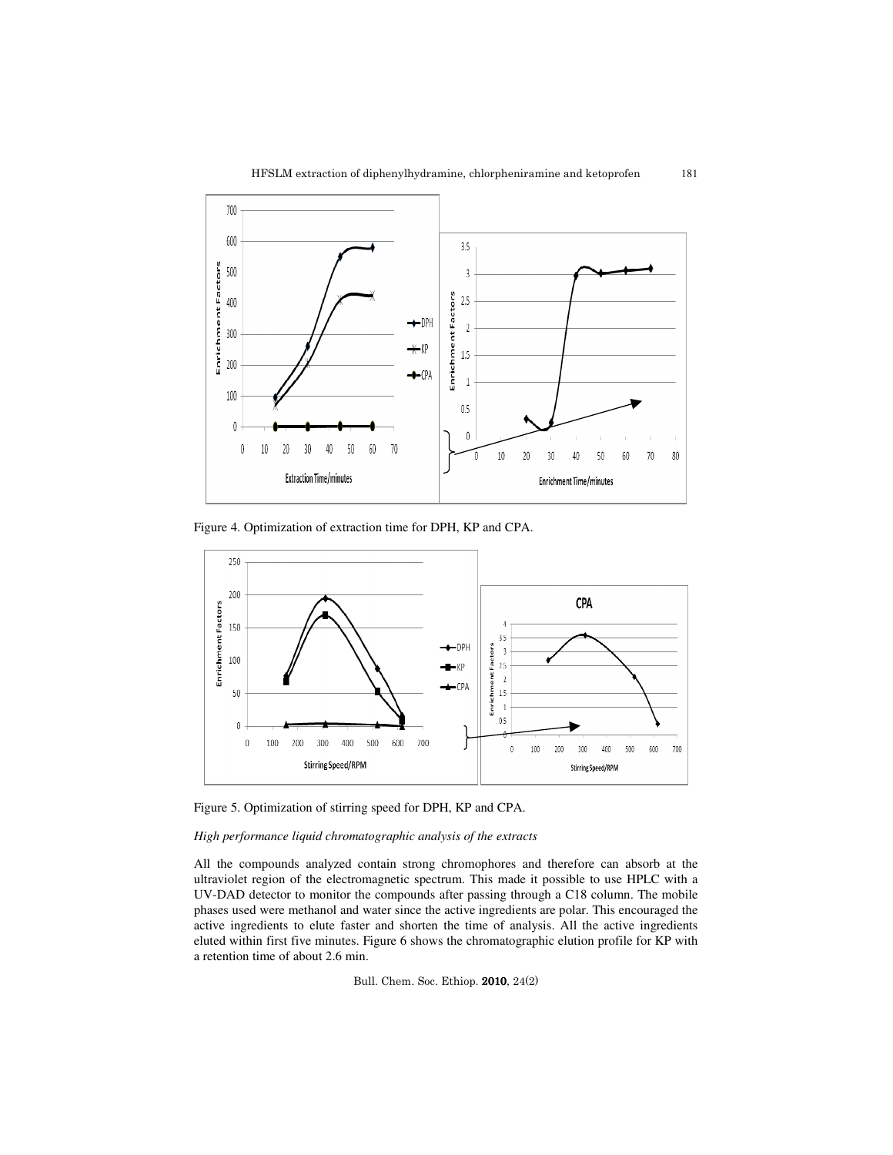181



Figure 4. Optimization of extraction time for DPH, KP and CPA.



Figure 5. Optimization of stirring speed for DPH, KP and CPA.

## *High performance liquid chromatographic analysis of the extracts*

All the compounds analyzed contain strong chromophores and therefore can absorb at the ultraviolet region of the electromagnetic spectrum. This made it possible to use HPLC with a UV-DAD detector to monitor the compounds after passing through a C18 column. The mobile phases used were methanol and water since the active ingredients are polar. This encouraged the active ingredients to elute faster and shorten the time of analysis. All the active ingredients eluted within first five minutes. Figure 6 shows the chromatographic elution profile for KP with a retention time of about 2.6 min.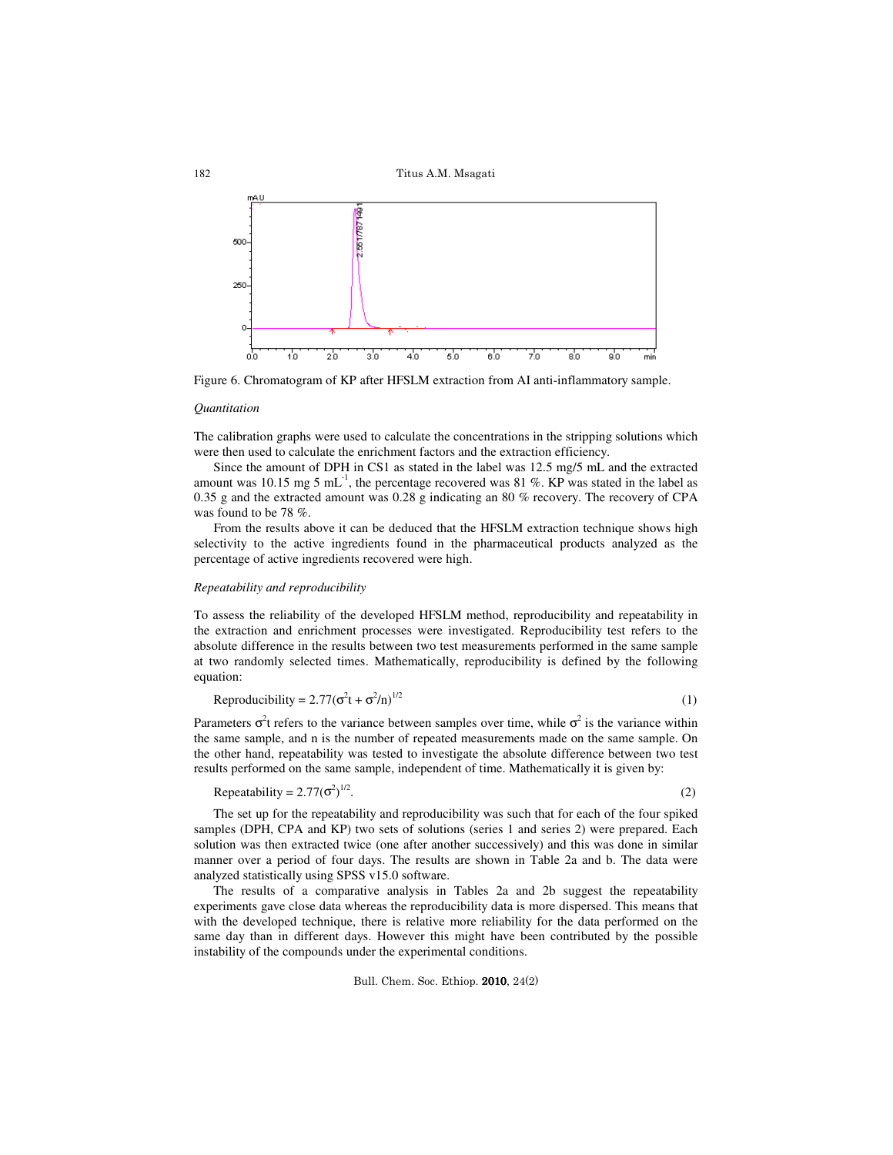

Figure 6. Chromatogram of KP after HFSLM extraction from AI anti-inflammatory sample.

#### *Quantitation*

The calibration graphs were used to calculate the concentrations in the stripping solutions which were then used to calculate the enrichment factors and the extraction efficiency.

 Since the amount of DPH in CS1 as stated in the label was 12.5 mg/5 mL and the extracted amount was 10.15 mg 5 mL<sup>-1</sup>, the percentage recovered was 81 %. KP was stated in the label as 0.35 g and the extracted amount was 0.28 g indicating an 80 % recovery. The recovery of CPA was found to be 78 %.

 From the results above it can be deduced that the HFSLM extraction technique shows high selectivity to the active ingredients found in the pharmaceutical products analyzed as the percentage of active ingredients recovered were high.

#### *Repeatability and reproducibility*

To assess the reliability of the developed HFSLM method, reproducibility and repeatability in the extraction and enrichment processes were investigated. Reproducibility test refers to the absolute difference in the results between two test measurements performed in the same sample at two randomly selected times. Mathematically, reproducibility is defined by the following equation:

$$
Reproductibility = 2.77(\sigma^2 t + \sigma^2/n)^{1/2}
$$
 (1)

Parameters  $\sigma^2$ t refers to the variance between samples over time, while  $\sigma^2$  is the variance within the same sample, and n is the number of repeated measurements made on the same sample. On the other hand, repeatability was tested to investigate the absolute difference between two test results performed on the same sample, independent of time. Mathematically it is given by:

$$
Repeatability = 2.77(\sigma^2)^{1/2}.
$$
\n(2)

 The set up for the repeatability and reproducibility was such that for each of the four spiked samples (DPH, CPA and KP) two sets of solutions (series 1 and series 2) were prepared. Each solution was then extracted twice (one after another successively) and this was done in similar manner over a period of four days. The results are shown in Table 2a and b. The data were analyzed statistically using SPSS v15.0 software.

The results of a comparative analysis in Tables 2a and 2b suggest the repeatability experiments gave close data whereas the reproducibility data is more dispersed. This means that with the developed technique, there is relative more reliability for the data performed on the same day than in different days. However this might have been contributed by the possible instability of the compounds under the experimental conditions.

Bull. Chem. Soc. Ethiop. 2010, 24(2)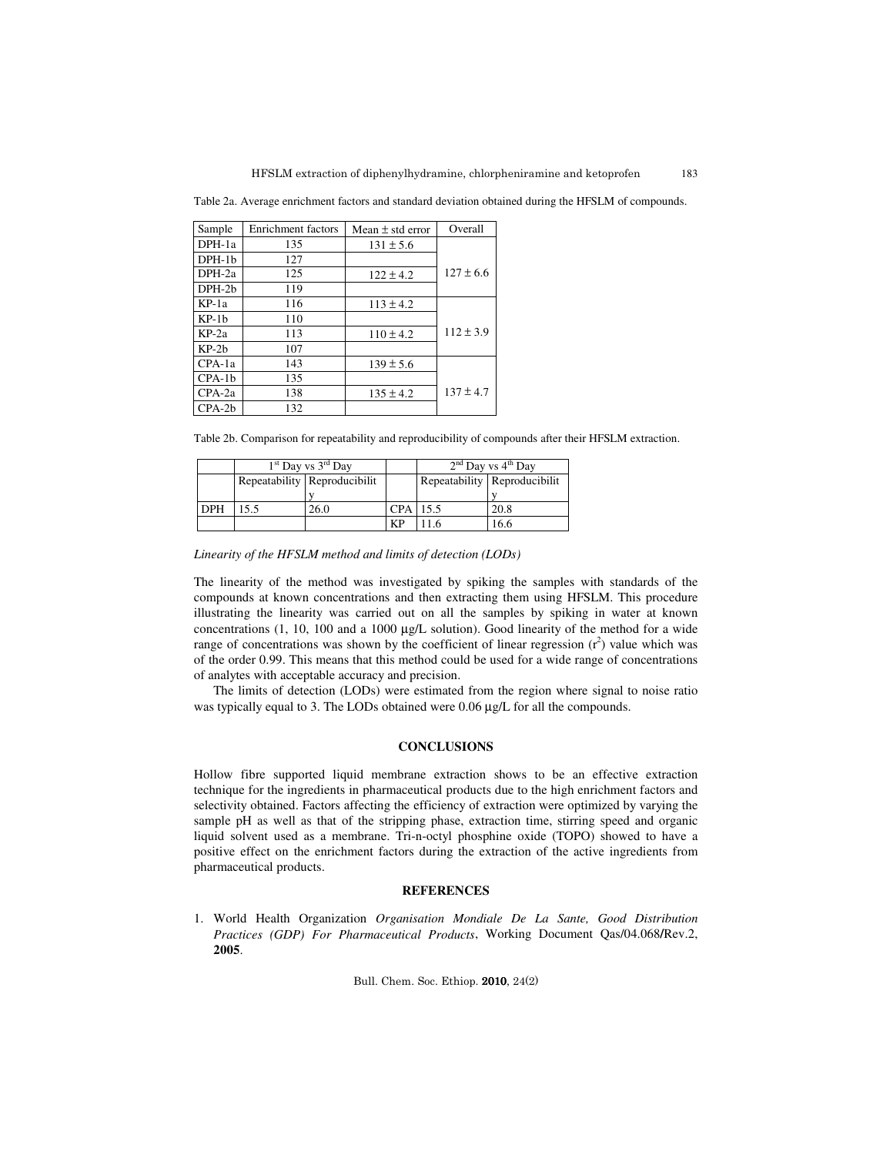Table 2a. Average enrichment factors and standard deviation obtained during the HFSLM of compounds.

| Sample   | Enrichment factors | Mean $\pm$ std error | Overall       |
|----------|--------------------|----------------------|---------------|
| DPH-1a   | 135                | $131 \pm 5.6$        |               |
| $DPH-1b$ | 127                |                      |               |
| DPH-2a   | 125                | $122 \pm 4.2$        | $127 \pm 6.6$ |
| DPH-2b   | 119                |                      |               |
| $KP-1a$  | 116                | $113 \pm 4.2$        |               |
| $KP-1h$  | 110                |                      |               |
| $KP-2a$  | 113                | $110 \pm 4.2$        | $112 \pm 3.9$ |
| $KP-2b$  | 107                |                      |               |
| $CPA-1a$ | 143                | $139 \pm 5.6$        |               |
| $CPA-1b$ | 135                |                      |               |
| $CPA-2a$ | 138                | $135 \pm 4.2$        | $137 \pm 4.7$ |
| $CPA-2b$ | 132                |                      |               |

Table 2b. Comparison for repeatability and reproducibility of compounds after their HFSLM extraction.

|            | $1st$ Day vs $3rd$ Day |                                |            | $2nd$ Day vs $4th$ Day |                              |
|------------|------------------------|--------------------------------|------------|------------------------|------------------------------|
|            |                        | Repeatability   Reproducibilit |            |                        | Repeatability Reproducibilit |
|            |                        |                                |            |                        |                              |
| <b>DPH</b> | 15.5                   | 26.0                           | $CPA$ 15.5 |                        | 20.8                         |
|            |                        |                                | KP         | 11.6                   | 16.6                         |

*Linearity of the HFSLM method and limits of detection (LODs)* 

The linearity of the method was investigated by spiking the samples with standards of the compounds at known concentrations and then extracting them using HFSLM. This procedure illustrating the linearity was carried out on all the samples by spiking in water at known concentrations (1, 10, 100 and a 1000 µg/L solution). Good linearity of the method for a wide range of concentrations was shown by the coefficient of linear regression  $(r^2)$  value which was of the order 0.99. This means that this method could be used for a wide range of concentrations of analytes with acceptable accuracy and precision.

 The limits of detection (LODs) were estimated from the region where signal to noise ratio was typically equal to 3. The LODs obtained were 0.06 µg/L for all the compounds.

## **CONCLUSIONS**

Hollow fibre supported liquid membrane extraction shows to be an effective extraction technique for the ingredients in pharmaceutical products due to the high enrichment factors and selectivity obtained. Factors affecting the efficiency of extraction were optimized by varying the sample pH as well as that of the stripping phase, extraction time, stirring speed and organic liquid solvent used as a membrane. Tri-n-octyl phosphine oxide (TOPO) showed to have a positive effect on the enrichment factors during the extraction of the active ingredients from pharmaceutical products.

## **REFERENCES**

1. World Health Organization *Organisation Mondiale De La Sante, Good Distribution Practices (GDP) For Pharmaceutical Products*, Working Document Qas/04.068**/**Rev.2, **2005**.